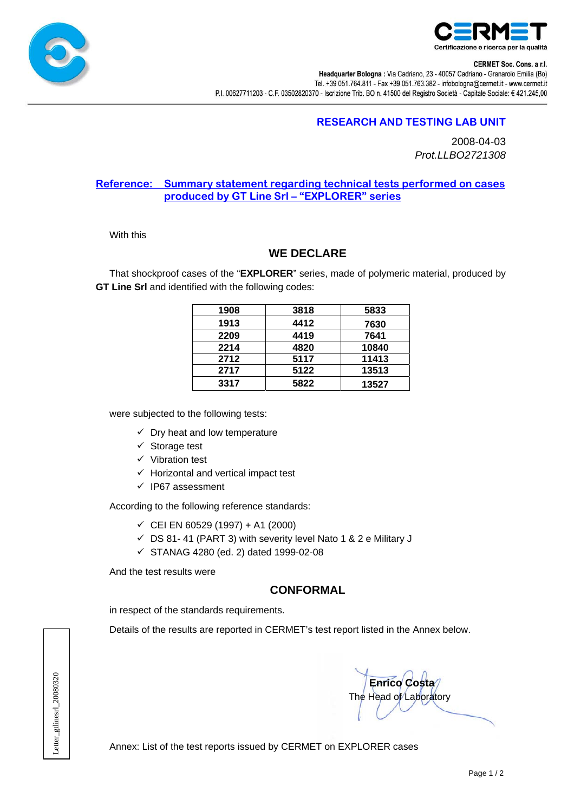



**CERMET Soc. Cons. a r.l.** 

Headquarter Bologna : Via Cadriano, 23 - 40057 Cadriano - Granarolo Emilia (Bo) Tel. +39 051.764.811 - Fax +39 051.763.382 - infobologna@cermet.it - www.cermet.it P.I. 00627711203 - C.F. 03502820370 - Iscrizione Trib. BO n. 41500 del Registro Società - Capitale Sociale: € 421.245,00

# **RESEARCH AND TESTING LAB UNIT**

2008-04-03 *Prot.LLBO2721308* 

#### **Reference: Summary statement regarding technical tests performed on cases produced by GT Line Srl – "EXPLORER" series**

With this

### **WE DECLARE**

That shockproof cases of the "**EXPLORER**" series, made of polymeric material, produced by **GT Line Srl** and identified with the following codes:

| 1908 | 3818 | 5833  |
|------|------|-------|
| 1913 | 4412 | 7630  |
| 2209 | 4419 | 7641  |
| 2214 | 4820 | 10840 |
| 2712 | 5117 | 11413 |
| 2717 | 5122 | 13513 |
| 3317 | 5822 | 13527 |

were subjected to the following tests:

- $\checkmark$  Dry heat and low temperature
- $\checkmark$  Storage test
- $\checkmark$  Vibration test
- $\checkmark$  Horizontal and vertical impact test
- $\checkmark$  IP67 assessment

According to the following reference standards:

- $\checkmark$  CEI EN 60529 (1997) + A1 (2000)
- $\checkmark$  DS 81- 41 (PART 3) with severity level Nato 1 & 2 e Military J
- $\checkmark$  STANAG 4280 (ed. 2) dated 1999-02-08

And the test results were

# **CONFORMAL**

in respect of the standards requirements.

Details of the results are reported in CERMET's test report listed in the Annex below.

Letter\_gtlinesrl\_20080320 Letter\_gtlinesrl\_20080320

 **Enrico Costa**  The Head of Laboratory